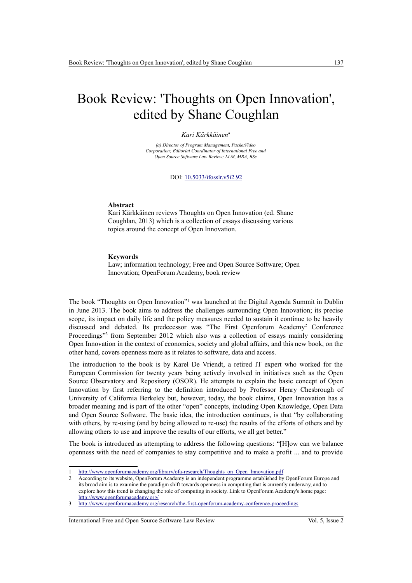# Book Review: 'Thoughts on Open Innovation', edited by Shane Coughlan

### *Kari Kärkkäinen<sup>a</sup>*

*(a) Director of Program Management, PacketVideo Corporation; Editorial Coordinator of International Free and Open Source Software Law Review; LLM, MBA, BSc*

DOI: [10.5033/ifosslr.v5i2.92](http://dx.doi.org/10.5033/ifosslr.v5i2.92)

#### **Abstract**

Kari Kärkkäinen reviews Thoughts on Open Innovation (ed. Shane Coughlan, 2013) which is a collection of essays discussing various topics around the concept of Open Innovation.

#### **Keywords**

Law; information technology; Free and Open Source Software; Open Innovation; OpenForum Academy, book review

The book "Thoughts on Open Innovation"<sup>[1](#page-0-0)</sup> was launched at the Digital Agenda Summit in Dublin in June 2013. The book aims to address the challenges surrounding Open Innovation; its precise scope, its impact on daily life and the policy measures needed to sustain it continue to be heavily discussed and debated. Its predecessor was "The First Openforum Academy[2](#page-0-1) Conference Proceedings"<sup>[3](#page-0-2)</sup> from September 2012 which also was a collection of essays mainly considering Open Innovation in the context of economics, society and global affairs, and this new book, on the other hand, covers openness more as it relates to software, data and access.

The introduction to the book is by Karel De Vriendt, a retired IT expert who worked for the European Commission for twenty years being actively involved in initiatives such as the Open Source Observatory and Repository (OSOR). He attempts to explain the basic concept of Open Innovation by first referring to the definition introduced by Professor Henry Chesbrough of University of California Berkeley but, however, today, the book claims, Open Innovation has a broader meaning and is part of the other "open" concepts, including Open Knowledge, Open Data and Open Source Software. The basic idea, the introduction continues, is that "by collaborating with others, by re-using (and by being allowed to re-use) the results of the efforts of others and by allowing others to use and improve the results of our efforts, we all get better."

The book is introduced as attempting to address the following questions: "[H]ow can we balance openness with the need of companies to stay competitive and to make a profit ... and to provide

International Free and Open Source Software Law Review Vol. 5, Issue 2

<span id="page-0-0"></span>[http://www.openforumacademy.org/library/ofa-research/Thoughts\\_on\\_Open\\_Innovation.pdf](http://www.openforumacademy.org/library/ofa-research/Thoughts_on_Open_Innovation.pdf)

<span id="page-0-1"></span><sup>2</sup> According to its website, OpenForum Academy is an independent programme established by OpenForum Europe and its broad aim is to examine the paradigm shift towards openness in computing that is currently underway, and to explore how this trend is changing the role of computing in society. Link to OpenForum Academy's home page: <http://www.openforumacademy.org/>

<span id="page-0-2"></span><sup>3</sup> <http://www.openforumacademy.org/research/the-first-openforum-academy-conference-proceedings>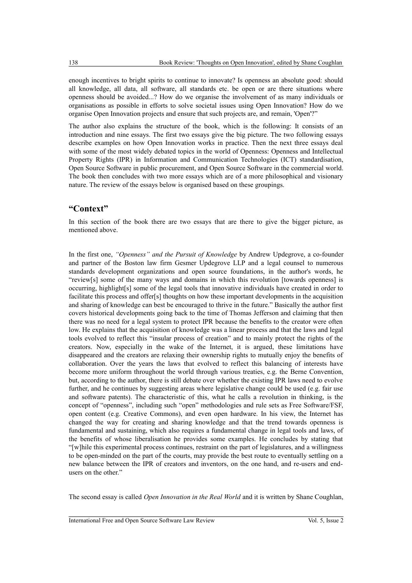enough incentives to bright spirits to continue to innovate? Is openness an absolute good: should all knowledge, all data, all software, all standards etc. be open or are there situations where openness should be avoided...? How do we organise the involvement of as many individuals or organisations as possible in efforts to solve societal issues using Open Innovation? How do we organise Open Innovation projects and ensure that such projects are, and remain, 'Open'?"

The author also explains the structure of the book, which is the following: It consists of an introduction and nine essays. The first two essays give the big picture. The two following essays describe examples on how Open Innovation works in practice. Then the next three essays deal with some of the most widely debated topics in the world of Openness: Openness and Intellectual Property Rights (IPR) in Information and Communication Technologies (ICT) standardisation, Open Source Software in public procurement, and Open Source Software in the commercial world. The book then concludes with two more essays which are of a more philosophical and visionary nature. The review of the essays below is organised based on these groupings.

# **"Context"**

In this section of the book there are two essays that are there to give the bigger picture, as mentioned above.

In the first one, *"Openness" and the Pursuit of Knowledge* by Andrew Updegrove, a co-founder and partner of the Boston law firm Gesmer Updegrove LLP and a legal counsel to numerous standards development organizations and open source foundations, in the author's words, he "review[s] some of the many ways and domains in which this revolution [towards openness] is occurring, highlight[s] some of the legal tools that innovative individuals have created in order to facilitate this process and offer[s] thoughts on how these important developments in the acquisition and sharing of knowledge can best be encouraged to thrive in the future." Basically the author first covers historical developments going back to the time of Thomas Jefferson and claiming that then there was no need for a legal system to protect IPR because the benefits to the creator were often low. He explains that the acquisition of knowledge was a linear process and that the laws and legal tools evolved to reflect this "insular process of creation" and to mainly protect the rights of the creators. Now, especially in the wake of the Internet, it is argued, these limitations have disappeared and the creators are relaxing their ownership rights to mutually enjoy the benefits of collaboration. Over the years the laws that evolved to reflect this balancing of interests have become more uniform throughout the world through various treaties, e.g. the Berne Convention, but, according to the author, there is still debate over whether the existing IPR laws need to evolve further, and he continues by suggesting areas where legislative change could be used (e.g. fair use and software patents). The characteristic of this, what he calls a revolution in thinking, is the concept of "openness", including such "open" methodologies and rule sets as Free Software/FSF, open content (e.g. Creative Commons), and even open hardware. In his view, the Internet has changed the way for creating and sharing knowledge and that the trend towards openness is fundamental and sustaining, which also requires a fundamental change in legal tools and laws, of the benefits of whose liberalisation he provides some examples. He concludes by stating that "[w]hile this experimental process continues, restraint on the part of legislatures, and a willingness to be open-minded on the part of the courts, may provide the best route to eventually settling on a new balance between the IPR of creators and inventors, on the one hand, and re-users and endusers on the other."

The second essay is called *Open Innovation in the Real World* and it is written by Shane Coughlan,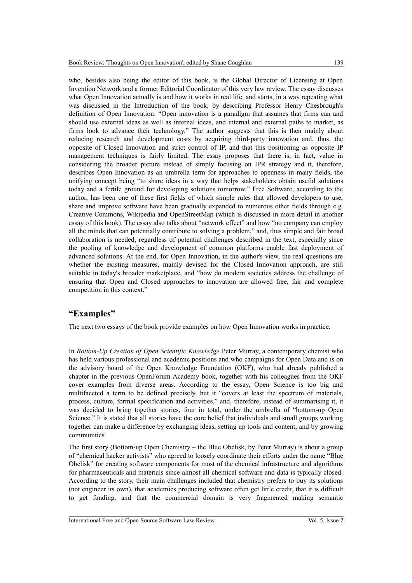who, besides also being the editor of this book, is the Global Director of Licensing at Open Invention Network and a former Editorial Coordinator of this very law review. The essay discusses what Open Innovation actually is and how it works in real life, and starts, in a way repeating what was discussed in the Introduction of the book, by describing Professor Henry Chesbrough's definition of Open Innovation: "Open innovation is a paradigm that assumes that firms can and should use external ideas as well as internal ideas, and internal and external paths to market, as firms look to advance their technology." The author suggests that this is then mainly about reducing research and development costs by acquiring third-party innovation and, thus, the opposite of Closed Innovation and strict control of IP, and that this positioning as opposite IP management techniques is fairly limited. The essay proposes that there is, in fact, value in considering the broader picture instead of simply focusing on IPR strategy and it, therefore, describes Open Innovation as an umbrella term for approaches to openness in many fields, the unifying concept being "to share ideas in a way that helps stakeholders obtain useful solutions today and a fertile ground for developing solutions tomorrow." Free Software, according to the author, has been one of these first fields of which simple rules that allowed developers to use, share and improve software have been gradually expanded to numerous other fields through e.g. Creative Commons, Wikipedia and OpenStreetMap (which is discussed in more detail in another essay of this book). The essay also talks about "network effect" and how "no company can employ all the minds that can potentially contribute to solving a problem," and, thus simple and fair broad collaboration is needed, regardless of potential challenges described in the text, especially since the pooling of knowledge and development of common platforms enable fast deployment of advanced solutions. At the end, for Open Innovation, in the author's view, the real questions are whether the existing measures, mainly devised for the Closed Innovation approach, are still suitable in today's broader marketplace, and "how do modern societies address the challenge of ensuring that Open and Closed approaches to innovation are allowed free, fair and complete competition in this context."

## **"Examples"**

The next two essays of the book provide examples on how Open Innovation works in practice.

In *Bottom-Up Creation of Open Scientific Knowledge* Peter Murray, a contemporary chemist who has held various professional and academic positions and who campaigns for Open Data and is on the advisory board of the Open Knowledge Foundation (OKF), who had already published a chapter in the previous OpenForum Academy book, together with his colleagues from the OKF cover examples from diverse areas. According to the essay, Open Science is too big and multifaceted a term to be defined precisely, but it "covers at least the spectrum of materials, process, culture, formal specification and activities," and, therefore, instead of summarising it, it was decided to bring together stories, four in total, under the umbrella of "bottom-up Open Science." It is stated that all stories have the core belief that individuals and small groups working together can make a difference by exchanging ideas, setting up tools and content, and by growing communities.

The first story (Bottom-up Open Chemistry – the Blue Obelisk, by Peter Murray) is about a group of "chemical hacker activists" who agreed to loosely coordinate their efforts under the name "Blue Obelisk" for creating software components for most of the chemical infrastructure and algorithms for pharmaceuticals and materials since almost all chemical software and data is typically closed. According to the story, their main challenges included that chemistry prefers to buy its solutions (not engineer its own), that academics producing software often get little credit, that it is difficult to get funding, and that the commercial domain is very fragmented making semantic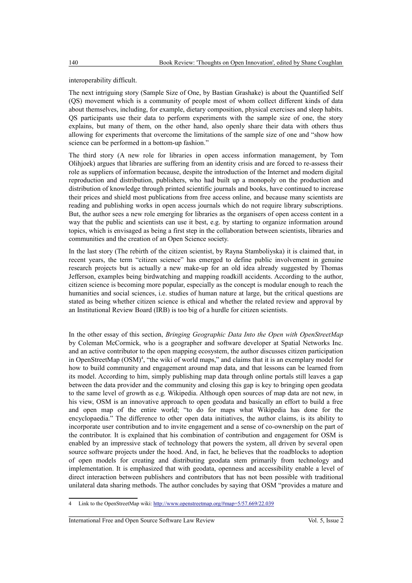## interoperability difficult.

The next intriguing story (Sample Size of One, by Bastian Grashake) is about the Quantified Self (QS) movement which is a community of people most of whom collect different kinds of data about themselves, including, for example, dietary composition, physical exercises and sleep habits. QS participants use their data to perform experiments with the sample size of one, the story explains, but many of them, on the other hand, also openly share their data with others thus allowing for experiments that overcome the limitations of the sample size of one and "show how science can be performed in a bottom-up fashion."

The third story (A new role for libraries in open access information management, by Tom Olihjoek) argues that libraries are suffering from an identity crisis and are forced to re-assess their role as suppliers of information because, despite the introduction of the Internet and modern digital reproduction and distribution, publishers, who had built up a monopoly on the production and distribution of knowledge through printed scientific journals and books, have continued to increase their prices and shield most publications from free access online, and because many scientists are reading and publishing works in open access journals which do not require library subscriptions. But, the author sees a new role emerging for libraries as the organisers of open access content in a way that the public and scientists can use it best, e.g. by starting to organize information around topics, which is envisaged as being a first step in the collaboration between scientists, libraries and communities and the creation of an Open Science society.

In the last story (The rebirth of the citizen scientist, by Rayna Stamboliyska) it is claimed that, in recent years, the term "citizen science" has emerged to define public involvement in genuine research projects but is actually a new make-up for an old idea already suggested by Thomas Jefferson, examples being birdwatching and mapping roadkill accidents. According to the author, citizen science is becoming more popular, especially as the concept is modular enough to reach the humanities and social sciences, i.e. studies of human nature at large, but the critical questions are stated as being whether citizen science is ethical and whether the related review and approval by an Institutional Review Board (IRB) is too big of a hurdle for citizen scientists.

In the other essay of this section, *Bringing Geographic Data Into the Open with OpenStreetMap* by Coleman McCormick, who is a geographer and software developer at Spatial Networks Inc. and an active contributor to the open mapping ecosystem, the author discusses citizen participation in OpenStreetMap (OSM)<sup>[4](#page-3-0)</sup>, "the wiki of world maps," and claims that it is an exemplary model for how to build community and engagement around map data, and that lessons can be learned from its model. According to him, simply publishing map data through online portals still leaves a gap between the data provider and the community and closing this gap is key to bringing open geodata to the same level of growth as e.g. Wikipedia. Although open sources of map data are not new, in his view, OSM is an innovative approach to open geodata and basically an effort to build a free and open map of the entire world; "to do for maps what Wikipedia has done for the encyclopaedia." The difference to other open data initiatives, the author claims, is its ability to incorporate user contribution and to invite engagement and a sense of co-ownership on the part of the contributor. It is explained that his combination of contribution and engagement for OSM is enabled by an impressive stack of technology that powers the system, all driven by several open source software projects under the hood. And, in fact, he believes that the roadblocks to adoption of open models for creating and distributing geodata stem primarily from technology and implementation. It is emphasized that with geodata, openness and accessibility enable a level of direct interaction between publishers and contributors that has not been possible with traditional unilateral data sharing methods. The author concludes by saying that OSM "provides a mature and

<span id="page-3-0"></span><sup>4</sup> Link to the OpenStreetMap wiki:<http://www.openstreetmap.org/#map=5/57.669/22.039>

International Free and Open Source Software Law Review Vol. 5, Issue 2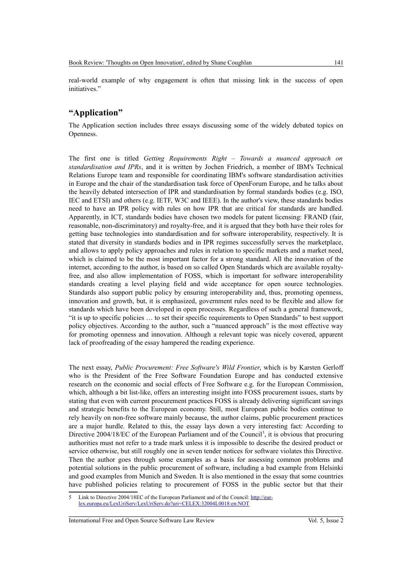real-world example of why engagement is often that missing link in the success of open initiatives."

# **"Application"**

The Application section includes three essays discussing some of the widely debated topics on Openness.

The first one is titled *Getting Requirements Right – Towards a nuanced approach on standardisation and IPRs*, and it is written by Jochen Friedrich, a member of IBM's Technical Relations Europe team and responsible for coordinating IBM's software standardisation activities in Europe and the chair of the standardisation task force of OpenForum Europe, and he talks about the heavily debated intersection of IPR and standardisation by formal standards bodies (e.g. ISO, IEC and ETSI) and others (e.g. IETF, W3C and IEEE). In the author's view, these standards bodies need to have an IPR policy with rules on how IPR that are critical for standards are handled. Apparently, in ICT, standards bodies have chosen two models for patent licensing: FRAND (fair, reasonable, non-discriminatory) and royalty-free, and it is argued that they both have their roles for getting base technologies into standardisation and for software interoperability, respectively. It is stated that diversity in standards bodies and in IPR regimes successfully serves the marketplace, and allows to apply policy approaches and rules in relation to specific markets and a market need, which is claimed to be the most important factor for a strong standard. All the innovation of the internet, according to the author, is based on so called Open Standards which are available royaltyfree, and also allow implementation of FOSS, which is important for software interoperability standards creating a level playing field and wide acceptance for open source technologies. Standards also support public policy by ensuring interoperability and, thus, promoting openness, innovation and growth, but, it is emphasized, government rules need to be flexible and allow for standards which have been developed in open processes. Regardless of such a general framework, "it is up to specific policies … to set their specific requirements to Open Standards" to best support policy objectives. According to the author, such a "nuanced approach" is the most effective way for promoting openness and innovation. Although a relevant topic was nicely covered, apparent lack of proofreading of the essay hampered the reading experience.

The next essay, *Public Procurement: Free Software's Wild Frontier*, which is by Karsten Gerloff who is the President of the Free Software Foundation Europe and has conducted extensive research on the economic and social effects of Free Software e.g. for the European Commission, which, although a bit list-like, offers an interesting insight into FOSS procurement issues, starts by stating that even with current procurement practices FOSS is already delivering significant savings and strategic benefits to the European economy. Still, most European public bodies continue to rely heavily on non-free software mainly because, the author claims, public procurement practices are a major hurdle. Related to this, the essay lays down a very interesting fact: According to Directive 2004/18/EC of the European Parliament and of the Council<sup>[5](#page-4-0)</sup>, it is obvious that procuring authorities must not refer to a trade mark unless it is impossible to describe the desired product or service otherwise, but still roughly one in seven tender notices for software violates this Directive. Then the author goes through some examples as a basis for assessing common problems and potential solutions in the public procurement of software, including a bad example from Helsinki and good examples from Munich and Sweden. It is also mentioned in the essay that some countries have published policies relating to procurement of FOSS in the public sector but that their

International Free and Open Source Software Law Review Vol. 5, Issue 2

<span id="page-4-0"></span><sup>5</sup> Link to Directive 2004/18EC of the European Parliament and of the Council: [http://eur](http://eur-lex.europa.eu/LexUriServ/LexUriServ.do?uri=CELEX:32004L0018:en:NOT)[lex.europa.eu/LexUriServ/LexUriServ.do?uri=CELEX:32004L0018:en:NOT](http://eur-lex.europa.eu/LexUriServ/LexUriServ.do?uri=CELEX:32004L0018:en:NOT)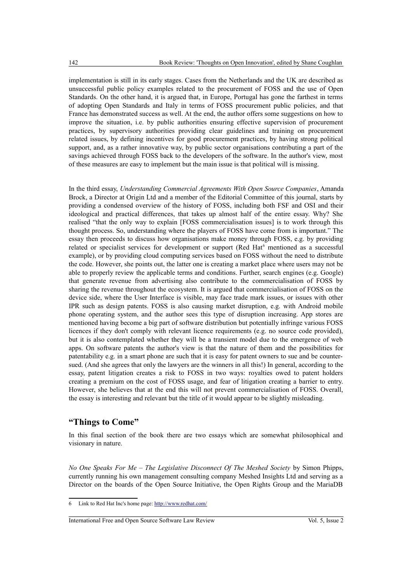implementation is still in its early stages. Cases from the Netherlands and the UK are described as unsuccessful public policy examples related to the procurement of FOSS and the use of Open Standards. On the other hand, it is argued that, in Europe, Portugal has gone the farthest in terms of adopting Open Standards and Italy in terms of FOSS procurement public policies, and that France has demonstrated success as well. At the end, the author offers some suggestions on how to improve the situation, i.e. by public authorities ensuring effective supervision of procurement practices, by supervisory authorities providing clear guidelines and training on procurement related issues, by defining incentives for good procurement practices, by having strong political support, and, as a rather innovative way, by public sector organisations contributing a part of the savings achieved through FOSS back to the developers of the software. In the author's view, most of these measures are easy to implement but the main issue is that political will is missing.

In the third essay, *Understanding Commercial Agreements With Open Source Companies*, Amanda Brock, a Director at Origin Ltd and a member of the Editorial Committee of this journal, starts by providing a condensed overview of the history of FOSS, including both FSF and OSI and their ideological and practical differences, that takes up almost half of the entire essay. Why? She realised "that the only way to explain [FOSS commercialisation issues] is to work through this thought process. So, understanding where the players of FOSS have come from is important." The essay then proceeds to discuss how organisations make money through FOSS, e.g. by providing related or specialist services for development or support (Red Hat<sup>[6](#page-5-0)</sup> mentioned as a successful example), or by providing cloud computing services based on FOSS without the need to distribute the code. However, she points out, the latter one is creating a market place where users may not be able to properly review the applicable terms and conditions. Further, search engines (e.g. Google) that generate revenue from advertising also contribute to the commercialisation of FOSS by sharing the revenue throughout the ecosystem. It is argued that commercialisation of FOSS on the device side, where the User Interface is visible, may face trade mark issues, or issues with other IPR such as design patents. FOSS is also causing market disruption, e.g. with Android mobile phone operating system, and the author sees this type of disruption increasing. App stores are mentioned having become a big part of software distribution but potentially infringe various FOSS licences if they don't comply with relevant licence requirements (e.g. no source code provided), but it is also contemplated whether they will be a transient model due to the emergence of web apps. On software patents the author's view is that the nature of them and the possibilities for patentability e.g. in a smart phone are such that it is easy for patent owners to sue and be countersued. (And she agrees that only the lawyers are the winners in all this!) In general, according to the essay, patent litigation creates a risk to FOSS in two ways: royalties owed to patent holders creating a premium on the cost of FOSS usage, and fear of litigation creating a barrier to entry. However, she believes that at the end this will not prevent commercialisation of FOSS. Overall, the essay is interesting and relevant but the title of it would appear to be slightly misleading.

## **"Things to Come"**

In this final section of the book there are two essays which are somewhat philosophical and visionary in nature.

*No One Speaks For Me – The Legislative Disconnect Of The Meshed Society* by Simon Phipps, currently running his own management consulting company Meshed Insights Ltd and serving as a Director on the boards of the Open Source Initiative, the Open Rights Group and the MariaDB

International Free and Open Source Software Law Review Vol. 5, Issue 2

<span id="page-5-0"></span><sup>6</sup> Link to Red Hat Inc's home page:<http://www.redhat.com/>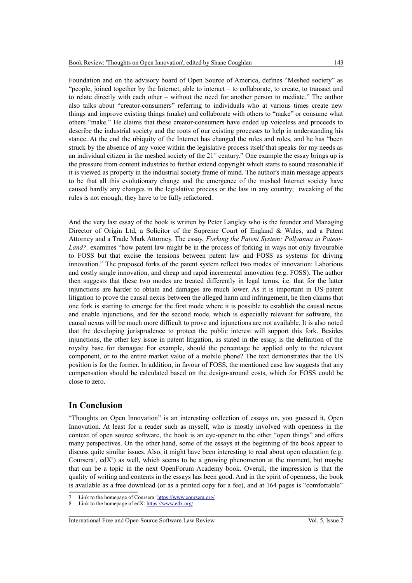Foundation and on the advisory board of Open Source of America, defines "Meshed society" as "people, joined together by the Internet, able to interact – to collaborate, to create, to transact and to relate directly with each other – without the need for another person to mediate." The author also talks about "creator-consumers" referring to individuals who at various times create new things and improve existing things (make) and collaborate with others to "make" or consume what others "make." He claims that these creator-consumers have ended up voiceless and proceeds to describe the industrial society and the roots of our existing processes to help in understanding his stance. At the end the ubiquity of the Internet has changed the rules and roles, and he has "been struck by the absence of any voice within the legislative process itself that speaks for my needs as an individual citizen in the meshed society of the  $21<sup>st</sup>$  century." One example the essay brings up is the pressure from content industries to further extend copyright which starts to sound reasonable if it is viewed as property in the industrial society frame of mind. The author's main message appears to be that all this evolutionary change and the emergence of the meshed Internet society have caused hardly any changes in the legislative process or the law in any country; tweaking of the rules is not enough, they have to be fully refactored.

And the very last essay of the book is written by Peter Langley who is the founder and Managing Director of Origin Ltd, a Solicitor of the Supreme Court of England & Wales, and a Patent Attorney and a Trade Mark Attorney. The essay, *Forking the Patent System: Pollyanna in Patent-Land?,* examines "how patent law might be in the process of forking in ways not only favourable to FOSS but that excise the tensions between patent law and FOSS as systems for driving innovation." The proposed forks of the patent system reflect two modes of innovation: Laborious and costly single innovation, and cheap and rapid incremental innovation (e.g. FOSS). The author then suggests that these two modes are treated differently in legal terms, i.e. that for the latter injunctions are harder to obtain and damages are much lower. As it is important in US patent litigation to prove the causal nexus between the alleged harm and infringement, he then claims that one fork is starting to emerge for the first mode where it is possible to establish the causal nexus and enable injunctions, and for the second mode, which is especially relevant for software, the causal nexus will be much more difficult to prove and injunctions are not available. It is also noted that the developing jurisprudence to protect the public interest will support this fork. Besides injunctions, the other key issue in patent litigation, as stated in the essay, is the definition of the royalty base for damages: For example, should the percentage be applied only to the relevant component, or to the entire market value of a mobile phone? The text demonstrates that the US position is for the former. In addition, in favour of FOSS, the mentioned case law suggests that any compensation should be calculated based on the design-around costs, which for FOSS could be close to zero.

## **In Conclusion**

"Thoughts on Open Innovation" is an interesting collection of essays on, you guessed it, Open Innovation. At least for a reader such as myself, who is mostly involved with openness in the context of open source software, the book is an eye-opener to the other "open things" and offers many perspectives. On the other hand, some of the essays at the beginning of the book appear to discuss quite similar issues. Also, it might have been interesting to read about open education (e.g. Coursera<sup>[7](#page-6-0)</sup>, edX<sup>[8](#page-6-1)</sup>) as well, which seems to be a growing phenomenon at the moment, but maybe that can be a topic in the next OpenForum Academy book. Overall, the impression is that the quality of writing and contents in the essays has been good. And in the spirit of openness, the book is available as a free download (or as a printed copy for a fee), and at 164 pages is "comfortable"

<span id="page-6-0"></span>Link to the homepage of Coursera:<https://www.coursera.org/>

<span id="page-6-1"></span><sup>8</sup> Link to the homepage of edX:<https://www.edx.org/>